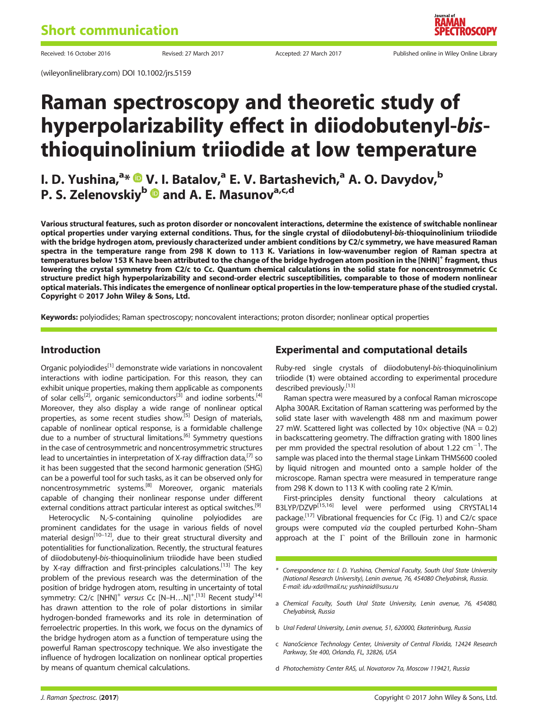(wileyonlinelibrary.com) DOI 10.1002/jrs.5159

Received: 16 October 2016 **Revised: 27 March 2017** Accepted: 27 March 2017 Published online in Wiley Online Library

# Raman spectroscopy and theoretic study of hyperpolarizability effect in diiodobutenyl-bisthioquinolinium triiodide at low temperature

# I. D. Yushina,<sup>a</sup>\* ® V. I. Batalov,<sup>a</sup> E. V. Bartashevich,<sup>a</sup> A. O. Davydov,<sup>b</sup> P. S. Zelenovskiy<sup>b</sup> and A. E. Masunov<sup>a,c,d</sup>

Various structural features, such as proton disorder or noncovalent interactions, determine the existence of switchable nonlinear optical properties under varying external conditions. Thus, for the single crystal of diiodobutenyl-bis-thioquinolinium triiodide with the bridge hydrogen atom, previously characterized under ambient conditions by C2/c symmetry, we have measured Raman spectra in the temperature range from 298 K down to 113 K. Variations in low-wavenumber region of Raman spectra at temperatures below 153 K have been attributed to the change of the bridge hydrogen atom position in the [NHN]<sup>+</sup> fragment, thus lowering the crystal symmetry from C2/c to Cc. Quantum chemical calculations in the solid state for noncentrosymmetric Cc structure predict high hyperpolarizability and second-order electric susceptibilities, comparable to those of modern nonlinear optical materials. This indicates the emergence of nonlinear optical properties in the low-temperature phase of the studied crystal. Copyright © 2017 John Wiley & Sons, Ltd.

Keywords: polyiodides; Raman spectroscopy; noncovalent interactions; proton disorder; nonlinear optical properties

#### Introduction

Organic polyiodides $<sup>[1]</sup>$  demonstrate wide variations in noncovalent</sup> interactions with iodine participation. For this reason, they can exhibit unique properties, making them applicable as components of solar cells<sup>[2]</sup>, organic semiconductors<sup>[3]</sup> and iodine sorbents.<sup>[4]</sup> Moreover, they also display a wide range of nonlinear optical properties, as some recent studies show.<sup>[5]</sup> Design of materials, capable of nonlinear optical response, is a formidable challenge due to a number of structural limitations.[6] Symmetry questions in the case of centrosymmetric and noncentrosymmetric structures lead to uncertainties in interpretation of X-ray diffraction data,  $^{[7]}$  so it has been suggested that the second harmonic generation (SHG) can be a powerful tool for such tasks, as it can be observed only for noncentrosymmetric systems.[8] Moreover, organic materials capable of changing their nonlinear response under different external conditions attract particular interest as optical switches.<sup>[9]</sup>

Heterocyclic N,-S-containing quinoline polyiodides are prominent candidates for the usage in various fields of novel material design<sup>[10–12]</sup>, due to their great structural diversity and potentialities for functionalization. Recently, the structural features of diiodobutenyl-bis-thioquinolinium triiodide have been studied by X-ray diffraction and first-principles calculations.<sup>[13]</sup> The key problem of the previous research was the determination of the position of bridge hydrogen atom, resulting in uncertainty of total symmetry: C2/c [NHN]<sup>+</sup> versus Cc [N-H...N]<sup>+ [13]</sup> Recent study<sup>[14]</sup> . has drawn attention to the role of polar distortions in similar hydrogen-bonded frameworks and its role in determination of ferroelectric properties. In this work, we focus on the dynamics of the bridge hydrogen atom as a function of temperature using the powerful Raman spectroscopy technique. We also investigate the influence of hydrogen localization on nonlinear optical properties by means of quantum chemical calculations.

## Experimental and computational details

Ruby-red single crystals of diiodobutenyl-bis-thioquinolinium triiodide (1) were obtained according to experimental procedure described previously.<sup>[13]</sup>

Raman spectra were measured by a confocal Raman microscope Alpha 300AR. Excitation of Raman scattering was performed by the solid state laser with wavelength 488 nm and maximum power 27 mW. Scattered light was collected by  $10 \times$  objective (NA = 0.2) in backscattering geometry. The diffraction grating with 1800 lines per mm provided the spectral resolution of about 1.22  $cm^{-1}$ . The sample was placed into the thermal stage Linkam THMS600 cooled by liquid nitrogen and mounted onto a sample holder of the microscope. Raman spectra were measured in temperature range from 298 K down to 113 K with cooling rate 2 K/min.

First-principles density functional theory calculations at B3LYP/DZVP<sup>[15,16]</sup> level were performed using CRYSTAL14 package.[17] Vibrational frequencies for Cc (Fig. 1) and C2/c space groups were computed via the coupled perturbed Kohn–Sham approach at the  $\Gamma$  point of the Brillouin zone in harmonic

- \* Correspondence to: I. D. Yushina, Chemical Faculty, South Ural State University (National Research University), Lenin avenue, 76, 454080 Chelyabinsk, Russia. E-mail: idu-xda@mail.ru; yushinaid@susu.ru
- a Chemical Faculty, South Ural State University, Lenin avenue, 76, 454080, Chelyabinsk, Russia
- b Ural Federal University, Lenin avenue, 51, 620000, Ekaterinburg, Russia
- c NanoScience Technology Center, University of Central Florida, 12424 Research Parkway, Ste 400, Orlando, FL, 32826, USA
- d Photochemistry Center RAS, ul. Novatorov 7a, Moscow 119421, Russia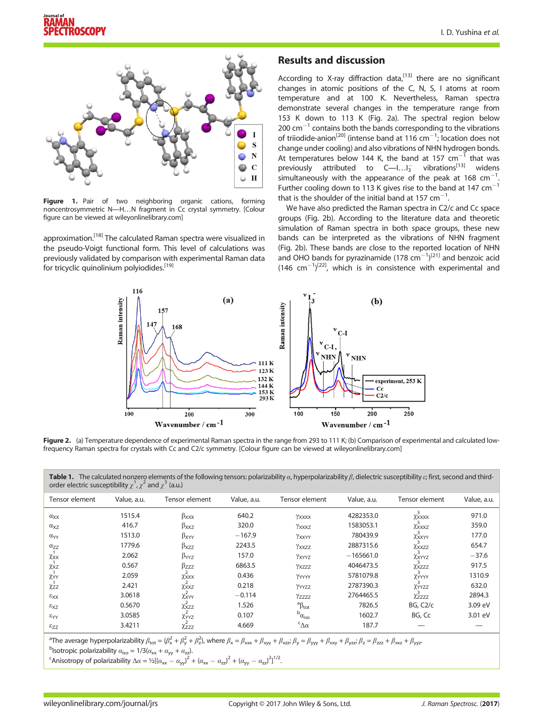

Figure 1. Pair of two neighboring organic cations, forming noncentrosymmetric N―H…N fragment in Cc crystal symmetry. [Colour figure can be viewed at [wileyonlinelibrary.com](http://wileyonlinelibrary.com)]

approximation.<sup>[18]</sup> The calculated Raman spectra were visualized in the pseudo-Voigt functional form. This level of calculations was previously validated by comparison with experimental Raman data for tricyclic quinolinium polyiodides.<sup>[19]</sup>

#### Results and discussion

According to X-ray diffraction data, $^{[13]}$  there are no significant changes in atomic positions of the C, N, S, I atoms at room temperature and at 100 K. Nevertheless, Raman spectra demonstrate several changes in the temperature range from 153 K down to 113 K (Fig. 2a). The spectral region below  $200 \text{ cm}^{-1}$  contains both the bands corresponding to the vibrations of triiodide-anion<sup>[20]</sup> (intense band at 116  $cm^{-1}$ ; location does not change under cooling) and also vibrations of NHN hydrogen bonds. At temperatures below 144 K, the band at 157  $cm^{-1}$  that was previously attributed to  $C$ —I... $I_3^-$  vibrations<sup>[13]</sup> widens simultaneously with the appearance of the peak at 168 cm<sup>-1</sup>. . Further cooling down to 113 K gives rise to the band at 147  $cm^{-1}$ that is the shoulder of the initial band at 157  $cm^{-1}$ . .

We have also predicted the Raman spectra in C2/c and Cc space groups (Fig. 2b). According to the literature data and theoretic simulation of Raman spectra in both space groups, these new bands can be interpreted as the vibrations of NHN fragment (Fig. 2b). These bands are close to the reported location of NHN and OHO bands for pyrazinamide  $(178 \text{ cm}^{-1})^{[21]}$  and benzoic acid  $(146 \text{ cm}^{-1})^{[22]}$ , which is in consistence with experimental and



Figure 2. (a) Temperature dependence of experimental Raman spectra in the range from 293 to 111 K; (b) Comparison of experimental and calculated lowfrequency Raman spectra for crystals with Cc and C2/c symmetry. [Colour figure can be viewed at [wileyonlinelibrary.com](http://wileyonlinelibrary.com)]

Table 1. The calculated nonzero elements of the following tensors: polarizability  $\alpha$ , hyperpolarizability  $\beta$ , dielectric susceptibility  $\varepsilon$ ; first, second and thirdorder electric susceptibility  $\chi^1$ ,  $\chi^2$  and  $\chi^3$  (a.u.)

| Tensor element       | Value, a.u. | Tensor element          | Value, a.u. | Tensor element            | Value, a.u. | Tensor element        | Value, a.u. |
|----------------------|-------------|-------------------------|-------------|---------------------------|-------------|-----------------------|-------------|
| $\alpha_{XX}$        | 1515.4      | $\beta_{\text{XXX}}$    | 640.2       | YXXXX                     | 4282353.0   | $\chi^3$ XXXX         | 971.0       |
| $\alpha_{XZ}$        | 416.7       | $\beta_{\text{XXZ}}$    | 320.0       | YXXXZ                     | 1583053.1   | $\chi^3$ xxxz         | 359.0       |
| $\alpha_{YY}$        | 1513.0      | $\beta_{XYY}$           | $-167.9$    | YXXYY                     | 780439.9    | $\chi^3$ XXYY         | 177.0       |
| $\alpha_{ZZ}$        | 1779.6      | $\beta_{XZZ}$           | 2243.5      | Yxxzz                     | 2887315.6   | XXXZZ                 | 654.7       |
| XXX                  | 2.062       | $\beta_{YYZ}$           | 157.0       | YXYYZ                     | $-165661.0$ | $\chi^3$ XYYZ         | $-37.6$     |
| $\chi_{XZ}$          | 0.567       | $\beta_{ZZZ}$           | 6863.5      | Yxzzz                     | 4046473.5   | $\chi^3$ xzzz         | 917.5       |
| XYY                  | 2.059       | Xxxx                    | 0.436       | YYYYY                     | 5781079.8   | XYYYY                 | 1310.9      |
| $\chi$ <sub>zz</sub> | 2.421       | $\chi^2_{\text{XXZ}}$   | 0.218       | YYYZZ                     | 2787390.3   | $\chi^{3}$ YYZZ       | 632.0       |
| $\epsilon_{XX}$      | 3.0618      | $\chi^2_{XYY}$          | $-0.114$    | Yzzzz                     | 2764465.5   | Xzzzz                 | 2894.3      |
| $\epsilon_{\rm XZ}$  | 0.5670      | $\chi^2_{XZZ}$          | 1.526       | ${}^a\beta_{tot}$         | 7826.5      | BG, C <sub>2</sub> /c | 3.09 eV     |
| $\epsilon_{YY}$      | 3.0585      | $\chi^2_{YYZ}$          | 0.107       | $^{\rm b}$ <sub>0</sub>   | 1602.7      | BG, Cc                | 3.01 eV     |
| $\epsilon_{ZZ}$      | 3.4211      | $\overline{\chi_{ZZZ}}$ | 4.669       | $\epsilon_{\Delta\alpha}$ | 187.7       |                       |             |

<sup>a</sup>The average hyperpolarizability  $\beta_{\text{tot}} = (\beta_x^2 + \beta_y^2 + \beta_z^2)$ , where  $\beta_x = \beta_{\text{xxx}} + \beta_{\text{xyy}} + \beta_{\text{xzz}}$ ;  $\beta_y = \beta_{\text{yyy}} + \beta_{\text{xxy}} + \beta_{\text{yzz}}$ ;  $\beta_z = \beta_{\text{zzz}} + \beta_{\text{xxx}} + \beta_{\text{yyz}}$ 

<sup>b</sup>lsotropic polarizability  $\alpha_{\text{iso}} = 1/3(\alpha_{\text{xx}} + \alpha_{\text{yy}} + \alpha_{\text{zz}})$ .

<sup>c</sup>Anisotropy of polarizability  $\Delta \alpha = \frac{1}{2}[(a_{xx} - a_{yy})^2 + (a_{xx} - a_{zz})^2 + (a_{yy} - a_{zz})^2]^{1/2}$ .